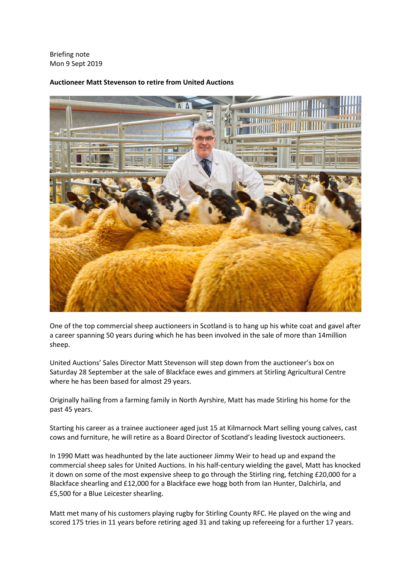Briefing note Mon 9 Sept 2019



## **Auctioneer Matt Stevenson to retire from United Auctions**

One of the top commercial sheep auctioneers in Scotland is to hang up his white coat and gavel after a career spanning 50 years during which he has been involved in the sale of more than 14million sheep.

United Auctions' Sales Director Matt Stevenson will step down from the auctioneer's box on Saturday 28 September at the sale of Blackface ewes and gimmers at Stirling Agricultural Centre where he has been based for almost 29 years.

Originally hailing from a farming family in North Ayrshire, Matt has made Stirling his home for the past 45 years.

Starting his career as a trainee auctioneer aged just 15 at Kilmarnock Mart selling young calves, cast cows and furniture, he will retire as a Board Director of Scotland's leading livestock auctioneers.

In 1990 Matt was headhunted by the late auctioneer Jimmy Weir to head up and expand the commercial sheep sales for United Auctions. In his half-century wielding the gavel, Matt has knocked it down on some of the most expensive sheep to go through the Stirling ring, fetching £20,000 for a Blackface shearling and £12,000 for a Blackface ewe hogg both from Ian Hunter, Dalchirla, and £5,500 for a Blue Leicester shearling.

Matt met many of his customers playing rugby for Stirling County RFC. He played on the wing and scored 175 tries in 11 years before retiring aged 31 and taking up refereeing for a further 17 years.